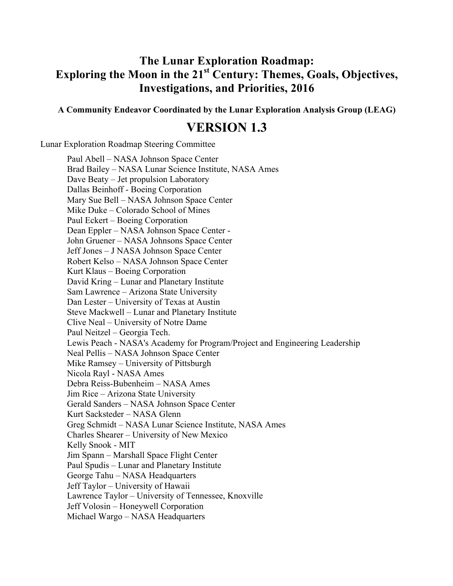# **The Lunar Exploration Roadmap: Exploring the Moon in the 21st Century: Themes, Goals, Objectives, Investigations, and Priorities, 2016**

**A Community Endeavor Coordinated by the Lunar Exploration Analysis Group (LEAG)**

## **VERSION 1.3**

Lunar Exploration Roadmap Steering Committee

Paul Abell – NASA Johnson Space Center Brad Bailey – NASA Lunar Science Institute, NASA Ames Dave Beaty – Jet propulsion Laboratory Dallas Beinhoff - Boeing Corporation Mary Sue Bell – NASA Johnson Space Center Mike Duke – Colorado School of Mines Paul Eckert – Boeing Corporation Dean Eppler – NASA Johnson Space Center - John Gruener – NASA Johnsons Space Center Jeff Jones – J NASA Johnson Space Center Robert Kelso – NASA Johnson Space Center Kurt Klaus – Boeing Corporation David Kring – Lunar and Planetary Institute Sam Lawrence – Arizona State University Dan Lester – University of Texas at Austin Steve Mackwell – Lunar and Planetary Institute Clive Neal – University of Notre Dame Paul Neitzel – Georgia Tech. Lewis Peach - NASA's Academy for Program/Project and Engineering Leadership Neal Pellis – NASA Johnson Space Center Mike Ramsey – University of Pittsburgh Nicola Rayl - NASA Ames Debra Reiss-Bubenheim – NASA Ames Jim Rice – Arizona State University Gerald Sanders – NASA Johnson Space Center Kurt Sacksteder – NASA Glenn Greg Schmidt – NASA Lunar Science Institute, NASA Ames Charles Shearer – University of New Mexico Kelly Snook - MIT Jim Spann – Marshall Space Flight Center Paul Spudis – Lunar and Planetary Institute George Tahu – NASA Headquarters Jeff Taylor – University of Hawaii Lawrence Taylor – University of Tennessee, Knoxville Jeff Volosin – Honeywell Corporation

Michael Wargo – NASA Headquarters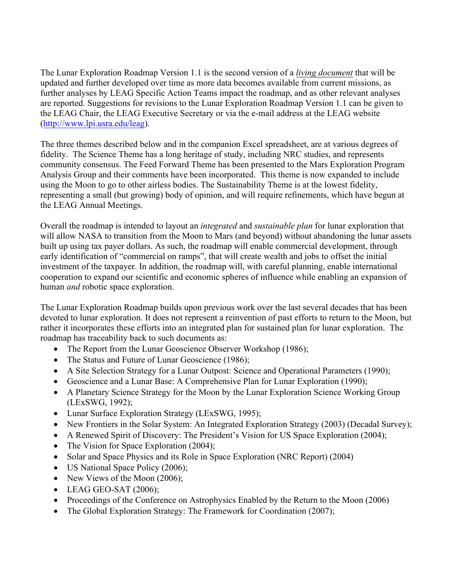The Lunar Exploration Roadmap Version 1.1 is the second version of a *living document* that will be updated and further developed over time as more data becomes available from current missions, as further analyses by LEAG Specific Action Teams impact the roadmap, and as other relevant analyses are reported. Suggestions for revisions to the Lunar Exploration Roadmap Version 1.1 can be given to the LEAG Chair, the LEAG Executive Secretary or via the e-mail address at the LEAG website (http://www.lpi.usra.edu/leag).

The three themes described below and in the companion Excel spreadsheet, are at various degrees of fidelity. The Science Theme has a long heritage of study, including NRC studies, and represents community consensus. The Feed Forward Theme has been presented to the Mars Exploration Program Analysis Group and their comments have been incorporated. This theme is now expanded to include using the Moon to go to other airless bodies. The Sustainability Theme is at the lowest fidelity, representing a small (but growing) body of opinion, and will require refinements, which have begun at the LEAG Annual Meetings.

Overall the roadmap is intended to layout an *integrated* and *sustainable plan* for lunar exploration that will allow NASA to transition from the Moon to Mars (and beyond) without abandoning the lunar assets built up using tax payer dollars. As such, the roadmap will enable commercial development, through early identification of "commercial on ramps", that will create wealth and jobs to offset the initial investment of the taxpayer. In addition, the roadmap will, with careful planning, enable international cooperation to expand our scientific and economic spheres of influence while enabling an expansion of human *and* robotic space exploration.

The Lunar Exploration Roadmap builds upon previous work over the last several decades that has been devoted to lunar exploration. It does not represent a reinvention of past efforts to return to the Moon, but rather it incorporates these efforts into an integrated plan for sustained plan for lunar exploration. The roadmap has traceability back to such documents as:

- The Report from the Lunar Geoscience Observer Workshop (1986);
- The Status and Future of Lunar Geoscience (1986);
- A Site Selection Strategy for a Lunar Outpost: Science and Operational Parameters (1990);
- Geoscience and a Lunar Base: A Comprehensive Plan for Lunar Exploration (1990);
- A Planetary Science Strategy for the Moon by the Lunar Exploration Science Working Group (LExSWG, 1992);
- Lunar Surface Exploration Strategy (LExSWG, 1995);
- New Frontiers in the Solar System: An Integrated Exploration Strategy (2003) (Decadal Survey);
- A Renewed Spirit of Discovery: The President's Vision for US Space Exploration (2004);
- The Vision for Space Exploration (2004);
- Solar and Space Physics and its Role in Space Exploration (NRC Report) (2004)
- US National Space Policy (2006);
- New Views of the Moon (2006);
- LEAG GEO-SAT (2006);
- Proceedings of the Conference on Astrophysics Enabled by the Return to the Moon (2006)
- The Global Exploration Strategy: The Framework for Coordination (2007);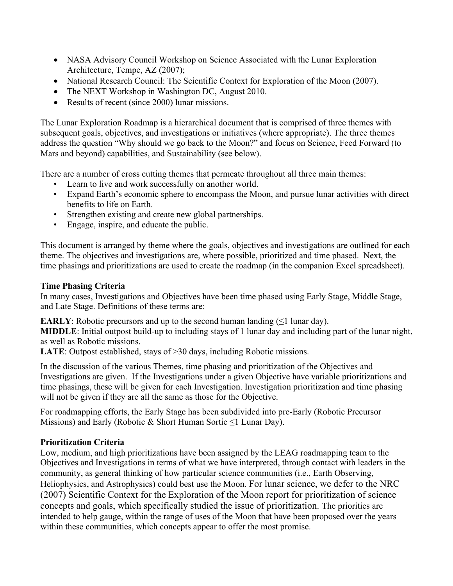- NASA Advisory Council Workshop on Science Associated with the Lunar Exploration Architecture, Tempe, AZ (2007);
- National Research Council: The Scientific Context for Exploration of the Moon (2007).
- The NEXT Workshop in Washington DC, August 2010.
- Results of recent (since 2000) lunar missions.

The Lunar Exploration Roadmap is a hierarchical document that is comprised of three themes with subsequent goals, objectives, and investigations or initiatives (where appropriate). The three themes address the question "Why should we go back to the Moon?" and focus on Science, Feed Forward (to Mars and beyond) capabilities, and Sustainability (see below).

There are a number of cross cutting themes that permeate throughout all three main themes:

- Learn to live and work successfully on another world.
- Expand Earth's economic sphere to encompass the Moon, and pursue lunar activities with direct benefits to life on Earth.
- Strengthen existing and create new global partnerships.
- Engage, inspire, and educate the public.

This document is arranged by theme where the goals, objectives and investigations are outlined for each theme. The objectives and investigations are, where possible, prioritized and time phased. Next, the time phasings and prioritizations are used to create the roadmap (in the companion Excel spreadsheet).

## **Time Phasing Criteria**

In many cases, Investigations and Objectives have been time phased using Early Stage, Middle Stage, and Late Stage. Definitions of these terms are:

**EARLY**: Robotic precursors and up to the second human landing  $(\leq 1 \text{ lunar day})$ .

**MIDDLE**: Initial outpost build-up to including stays of 1 lunar day and including part of the lunar night, as well as Robotic missions.

LATE: Outpost established, stays of >30 days, including Robotic missions.

In the discussion of the various Themes, time phasing and prioritization of the Objectives and Investigations are given. If the Investigations under a given Objective have variable prioritizations and time phasings, these will be given for each Investigation. Investigation prioritization and time phasing will not be given if they are all the same as those for the Objective.

For roadmapping efforts, the Early Stage has been subdivided into pre-Early (Robotic Precursor Missions) and Early (Robotic & Short Human Sortie  $\leq 1$  Lunar Day).

## **Prioritization Criteria**

Low, medium, and high prioritizations have been assigned by the LEAG roadmapping team to the Objectives and Investigations in terms of what we have interpreted, through contact with leaders in the community, as general thinking of how particular science communities (i.e., Earth Observing, Heliophysics, and Astrophysics) could best use the Moon. For lunar science, we defer to the NRC (2007) Scientific Context for the Exploration of the Moon report for prioritization of science concepts and goals, which specifically studied the issue of prioritization. The priorities are intended to help gauge, within the range of uses of the Moon that have been proposed over the years within these communities, which concepts appear to offer the most promise.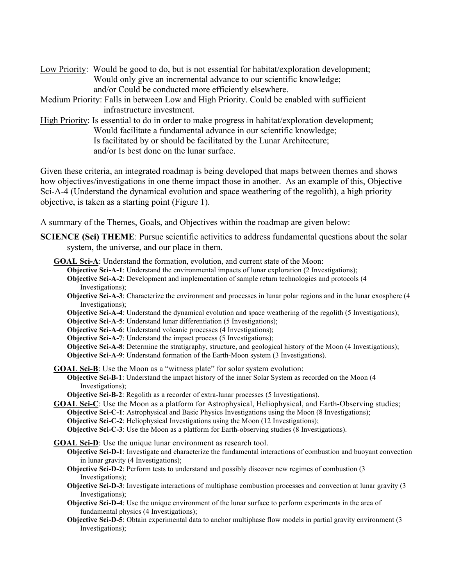- Low Priority: Would be good to do, but is not essential for habitat/exploration development; Would only give an incremental advance to our scientific knowledge; and/or Could be conducted more efficiently elsewhere.
- Medium Priority: Falls in between Low and High Priority. Could be enabled with sufficient infrastructure investment.
- High Priority: Is essential to do in order to make progress in habitat/exploration development; Would facilitate a fundamental advance in our scientific knowledge; Is facilitated by or should be facilitated by the Lunar Architecture; and/or Is best done on the lunar surface.

Given these criteria, an integrated roadmap is being developed that maps between themes and shows how objectives/investigations in one theme impact those in another. As an example of this, Objective Sci-A-4 (Understand the dynamical evolution and space weathering of the regolith), a high priority objective, is taken as a starting point (Figure 1).

A summary of the Themes, Goals, and Objectives within the roadmap are given below:

- **SCIENCE (Sci) THEME**: Pursue scientific activities to address fundamental questions about the solar system, the universe, and our place in them.
	- **GOAL Sci-A**: Understand the formation, evolution, and current state of the Moon: **Objective Sci-A-1**: Understand the environmental impacts of lunar exploration (2 Investigations); **Objective Sci-A-2**: Development and implementation of sample return technologies and protocols (4 Investigations); **Objective Sci-A-3**: Characterize the environment and processes in lunar polar regions and in the lunar exosphere (4 Investigations); **Objective Sci-A-4**: Understand the dynamical evolution and space weathering of the regolith (5 Investigations); **Objective Sci-A-5**: Understand lunar differentiation (5 Investigations); **Objective Sci-A-6**: Understand volcanic processes (4 Investigations); **Objective Sci-A-7**: Understand the impact process (5 Investigations); **Objective Sci-A-8**: Determine the stratigraphy, structure, and geological history of the Moon (4 Investigations); **Objective Sci-A-9**: Understand formation of the Earth-Moon system (3 Investigations).
		- **GOAL Sci-B**: Use the Moon as a "witness plate" for solar system evolution: **Objective Sci-B-1**: Understand the impact history of the inner Solar System as recorded on the Moon (4 Investigations);

**Objective Sci-B-2**: Regolith as a recorder of extra-lunar processes (5 Investigations).

**GOAL Sci-C**: Use the Moon as a platform for Astrophysical, Heliophysical, and Earth-Observing studies; **Objective Sci-C-1**: Astrophysical and Basic Physics Investigations using the Moon (8 Investigations); **Objective Sci-C-2**: Heliophysical Investigations using the Moon (12 Investigations); **Objective Sci-C-3**: Use the Moon as a platform for Earth-observing studies (8 Investigations).

**GOAL Sci-D**: Use the unique lunar environment as research tool.

- **Objective Sci-D-1**: Investigate and characterize the fundamental interactions of combustion and buoyant convection in lunar gravity (4 Investigations);
- **Objective Sci-D-2**: Perform tests to understand and possibly discover new regimes of combustion (3 Investigations);
- **Objective Sci-D-3**: Investigate interactions of multiphase combustion processes and convection at lunar gravity (3 Investigations);
- **Objective Sci-D-4**: Use the unique environment of the lunar surface to perform experiments in the area of fundamental physics (4 Investigations);
- **Objective Sci-D-5**: Obtain experimental data to anchor multiphase flow models in partial gravity environment (3) Investigations);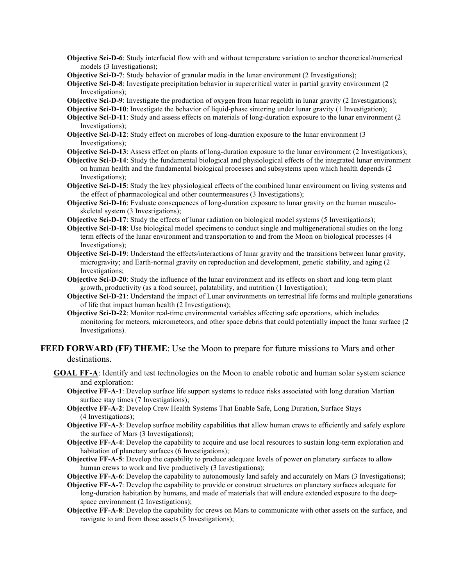- **Objective Sci-D-6**: Study interfacial flow with and without temperature variation to anchor theoretical/numerical models (3 Investigations);
- **Objective Sci-D-7**: Study behavior of granular media in the lunar environment (2 Investigations);

**Objective Sci-D-8**: Investigate precipitation behavior in supercritical water in partial gravity environment (2) Investigations);

**Objective Sci-D-9**: Investigate the production of oxygen from lunar regolith in lunar gravity (2 Investigations);

- **Objective Sci-D-10**: Investigate the behavior of liquid-phase sintering under lunar gravity (1 Investigation);
- **Objective Sci-D-11**: Study and assess effects on materials of long-duration exposure to the lunar environment (2 Investigations);
- **Objective Sci-D-12**: Study effect on microbes of long-duration exposure to the lunar environment (3 Investigations);
- **Objective Sci-D-13**: Assess effect on plants of long-duration exposure to the lunar environment (2 Investigations);
- **Objective Sci-D-14**: Study the fundamental biological and physiological effects of the integrated lunar environment on human health and the fundamental biological processes and subsystems upon which health depends (2 Investigations);
- **Objective Sci-D-15**: Study the key physiological effects of the combined lunar environment on living systems and the effect of pharmacological and other countermeasures (3 Investigations);
- **Objective Sci-D-16**: Evaluate consequences of long-duration exposure to lunar gravity on the human musculoskeletal system (3 Investigations);
- **Objective Sci-D-17**: Study the effects of lunar radiation on biological model systems (5 Investigations);
- **Objective Sci-D-18**: Use biological model specimens to conduct single and multigenerational studies on the long term effects of the lunar environment and transportation to and from the Moon on biological processes (4 Investigations);
- **Objective Sci-D-19**: Understand the effects/interactions of lunar gravity and the transitions between lunar gravity, microgravity; and Earth-normal gravity on reproduction and development, genetic stability, and aging (2 Investigations;
- **Objective Sci-D-20**: Study the influence of the lunar environment and its effects on short and long-term plant growth, productivity (as a food source), palatability, and nutrition (1 Investigation);
- **Objective Sci-D-21**: Understand the impact of Lunar environments on terrestrial life forms and multiple generations of life that impact human health (2 Investigations);
- **Objective Sci-D-22**: Monitor real-time environmental variables affecting safe operations, which includes monitoring for meteors, micrometeors, and other space debris that could potentially impact the lunar surface (2 Investigations).

### **FEED FORWARD (FF) THEME**: Use the Moon to prepare for future missions to Mars and other destinations.

- **GOAL FF-A**: Identify and test technologies on the Moon to enable robotic and human solar system science and exploration:
	- **Objective FF-A-1**: Develop surface life support systems to reduce risks associated with long duration Martian surface stay times (7 Investigations);
	- **Objective FF-A-2**: Develop Crew Health Systems That Enable Safe, Long Duration, Surface Stays (4 Investigations);
	- **Objective FF-A-3**: Develop surface mobility capabilities that allow human crews to efficiently and safely explore the surface of Mars (3 Investigations);
	- **Objective FF-A-4**: Develop the capability to acquire and use local resources to sustain long-term exploration and habitation of planetary surfaces (6 Investigations);
	- **Objective FF-A-5**: Develop the capability to produce adequate levels of power on planetary surfaces to allow human crews to work and live productively (3 Investigations);
	- **Objective FF-A-6**: Develop the capability to autonomously land safely and accurately on Mars (3 Investigations);
	- **Objective FF-A-7**: Develop the capability to provide or construct structures on planetary surfaces adequate for long-duration habitation by humans, and made of materials that will endure extended exposure to the deepspace environment (2 Investigations);
	- **Objective FF-A-8**: Develop the capability for crews on Mars to communicate with other assets on the surface, and navigate to and from those assets (5 Investigations);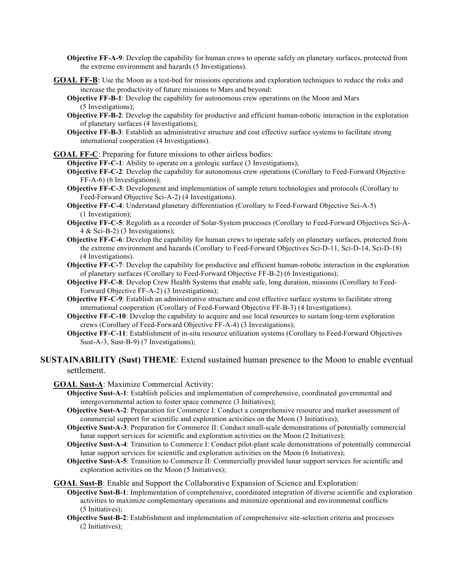**Objective FF-A-9**: Develop the capability for human crews to operate safely on planetary surfaces, protected from the extreme environment and hazards (5 Investigations).

- **GOAL FF-B**: Use the Moon as a test-bed for missions operations and exploration techniques to reduce the risks and increase the productivity of future missions to Mars and beyond:
	- **Objective FF-B-1**: Develop the capability for autonomous crew operations on the Moon and Mars (5 Investigations);
	- **Objective FF-B-2**: Develop the capability for productive and efficient human-robotic interaction in the exploration of planetary surfaces (4 Investigations);
	- **Objective FF-B-3**: Establish an administrative structure and cost effective surface systems to facilitate strong international cooperation (4 Investigations).

**GOAL FF-C**: Preparing for future missions to other airless bodies:

**Objective FF-C-1**: Ability to operate on a geologic surface (3 Investigations);

- **Objective FF-C-2**: Develop the capability for autonomous crew operations (Corollary to Feed-Forward Objective FF-A-6) (6 Investigations);
- **Objective FF-C-3**: Development and implementation of sample return technologies and protocols (Corollary to Feed-Forward Objective Sci-A-2) (4 Investigations).
- **Objective FF-C-4**: Understand planetary differentiation (Corollary to Feed-Forward Objective Sci-A-5) (1 Investigation);
- **Objective FF-C-5**: Regolith as a recorder of Solar-System processes (Corollary to Feed-Forward Objectives Sci-A-4 & Sci-B-2) (3 Investigations);
- **Objective FF-C-6**: Develop the capability for human crews to operate safely on planetary surfaces, protected from the extreme environment and hazards (Corollary to Feed-Forward Objectives Sci-D-11, Sci-D-14, Sci-D-18) (4 Investigations).
- **Objective FF-C-7**: Develop the capability for productive and efficient human-robotic interaction in the exploration of planetary surfaces (Corollary to Feed-Forward Objective FF-B-2) (6 Investigations);
- **Objective FF-C-8**: Develop Crew Health Systems that enable safe, long duration, missions (Corollary to Feed-Forward Objective FF-A-2) (3 Investigations);
- **Objective FF-C-9**: Establish an administrative structure and cost effective surface systems to facilitate strong international cooperation (Corollary of Feed-Forward Objective FF-B-3) (4 Investigations).
- **Objective FF-C-10:** Develop the capability to acquire and use local resources to sustain long-term exploration crews (Corollary of Feed-Forward Objective FF-A-4) (3 Investigations);
- **Objective FF-C-11**: Establishment of in-situ resource utilization systems (Corollary to Feed-Forward Objectives Sust-A-3, Sust-B-9) (7 Investigations);

#### **SUSTAINABILITY (Sust) THEME**: Extend sustained human presence to the Moon to enable eventual settlement.

**GOAL Sust-A**: Maximize Commercial Activity:

- **Objective Sust-A-1**: Establish policies and implementation of comprehensive, coordinated governmental and intergovernmental action to foster space commerce (3 Initiatives);
- **Objective Sust-A-2**: Preparation for Commerce I: Conduct a comprehensive resource and market assessment of commercial support for scientific and exploration activities on the Moon (3 Initiatives);
- **Objective Sust-A-3**: Preparation for Commerce II: Conduct small-scale demonstrations of potentially commercial lunar support services for scientific and exploration activities on the Moon (2 Initiatives);
- **Objective Sust-A-4**: Transition to Commerce I: Conduct pilot-plant scale demonstrations of potentially commercial lunar support services for scientific and exploration activities on the Moon (6 Initiatives);
- **Objective Sust-A-5**: Transition to Commerce II: Commercially provided lunar support services for scientific and exploration activities on the Moon (5 Initiatives);

**GOAL Sust-B**: Enable and Support the Collaborative Expansion of Science and Exploration:

**Objective Sust-B-1**: Implementation of comprehensive, coordinated integration of diverse scientific and exploration activities to maximize complementary operations and minimize operational and environmental conflicts (5 Initiatives);

**Objective Sust-B-2**: Establishment and implementation of comprehensive site-selection criteria and processes (2 Initiatives);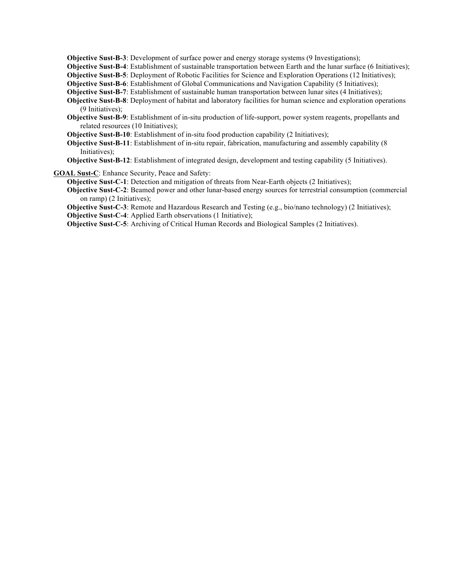**Objective Sust-B-3**: Development of surface power and energy storage systems (9 Investigations);

**Objective Sust-B-4**: Establishment of sustainable transportation between Earth and the lunar surface (6 Initiatives);

**Objective Sust-B-5**: Deployment of Robotic Facilities for Science and Exploration Operations (12 Initiatives);

**Objective Sust-B-6**: Establishment of Global Communications and Navigation Capability (5 Initiatives);

**Objective Sust-B-7**: Establishment of sustainable human transportation between lunar sites (4 Initiatives);

**Objective Sust-B-8**: Deployment of habitat and laboratory facilities for human science and exploration operations (9 Initiatives);

**Objective Sust-B-9**: Establishment of in-situ production of life-support, power system reagents, propellants and related resources (10 Initiatives);

**Objective Sust-B-10**: Establishment of in-situ food production capability (2 Initiatives);

**Objective Sust-B-11**: Establishment of in-situ repair, fabrication, manufacturing and assembly capability (8 Initiatives);

**Objective Sust-B-12**: Establishment of integrated design, development and testing capability (5 Initiatives).

**GOAL Sust-C**: Enhance Security, Peace and Safety:

**Objective Sust-C-1**: Detection and mitigation of threats from Near-Earth objects (2 Initiatives);

**Objective Sust-C-2**: Beamed power and other lunar-based energy sources for terrestrial consumption (commercial on ramp) (2 Initiatives);

**Objective Sust-C-3**: Remote and Hazardous Research and Testing (e.g., bio/nano technology) (2 Initiatives);

**Objective Sust-C-4**: Applied Earth observations (1 Initiative);

**Objective Sust-C-5**: Archiving of Critical Human Records and Biological Samples (2 Initiatives).